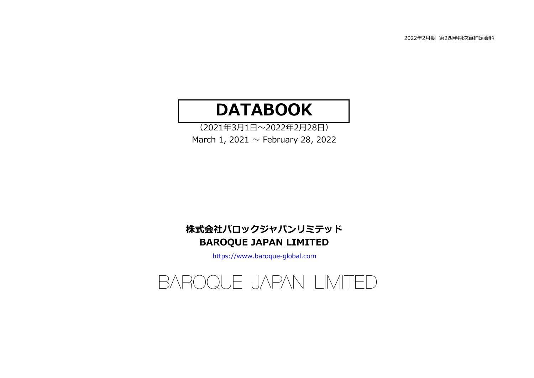# **DATABOOK**

(2021年3⽉1⽇〜2022年2⽉28⽇)March 1, 2021  $\sim$  February 28, 2022

# BAROQUE JAPAN LIMITED株式会社バロックジャパンリミテッド

https://www.baroque-global.com

# BAROQUE JAPAN LIMITED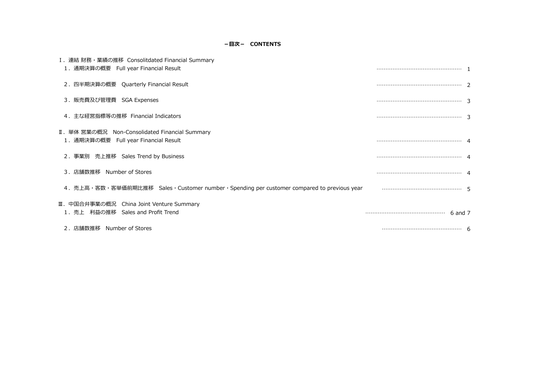# -目次- CONTENTS

| I. 連結 財務・業績の推移 Consolitdated Financial Summary<br>1. 通期決算の概要 Full year Financial Result                          |  |
|------------------------------------------------------------------------------------------------------------------|--|
| 2. 四半期決算の概要 Quarterly Financial Result                                                                           |  |
| 3. 販売費及び管理費 SGA Expenses                                                                                         |  |
| 4.主な経営指標等の推移 Financial Indicators                                                                                |  |
| Ⅱ. 単体 営業の概況 Non-Consolidated Financial Summary<br>1. 通期決算の概要 Full year Financial Result                          |  |
| 2. 事業別 売上推移 Sales Trend by Business                                                                              |  |
| 3. 店舗数推移 Number of Stores                                                                                        |  |
| 4. 売上高・客数・客単価前期比推移 Sales・Customer number・Spending per customer compared to previous year manuminuminuminuminum 5 |  |
| Ⅲ. 中国合弁事業の概況 China Joint Venture Summary<br>1. 売上 利益の推移 Sales and Profit Trend                                   |  |
| 2. 店舗数推移 Number of Stores                                                                                        |  |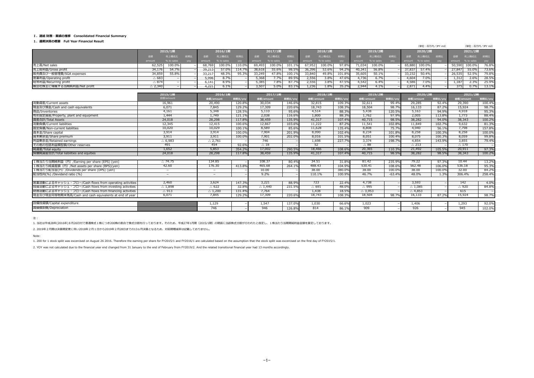#### Ⅰ.連結 財務・業績の推移 Consolidated Financial Summary

#### 1.通期決算の概要 Full Year Financial Result

|                                                                                                 |                   |                                                              |  |                          |            |        |                   |            |         |                 |            |        |                   |            |                  | (単位:百万円/JPY mil)  |            |         | (単位:百万円/JPY mil) |            |         |
|-------------------------------------------------------------------------------------------------|-------------------|--------------------------------------------------------------|--|--------------------------|------------|--------|-------------------|------------|---------|-----------------|------------|--------|-------------------|------------|------------------|-------------------|------------|---------|------------------|------------|---------|
|                                                                                                 |                   | 2015/1期<br>金額<br>売上構成比<br>前期比<br>amount<br>% to sales<br>yoy |  |                          | 2016/1期    |        |                   | 2017/1期    |         |                 | 2018/1期    |        |                   | 2019/2期    |                  |                   | 2020/2期    |         |                  | 2021/2期    |         |
|                                                                                                 |                   |                                                              |  | 金額                       | 売上構成比      | 前期比    | 金額                | 売上構成比      | 前期比     | 金額              | 売上構成比      | 前期比    | 金額                | 売上構成比      | 前期比              | 金額                | 売上構成比      | 前期比     | 金額               | 売上構成比      | 前期比     |
|                                                                                                 |                   |                                                              |  | amount                   | % to sales | yoy    | amount            | % to sales | yoy     | amount          | % to sales | yoy    | amount            | % to sales | yoy              | amount            | % to sales | yoy     | amount           | % to sales | yoy     |
| 売上高/Net sales                                                                                   | 62,525            | 100.0%                                                       |  | 68,769                   | 100.0%     | 110.09 | 69,493            | 100.0%     | 101.19  | 67,952          | 100.0%     | 97.8%  | 71,034            | 100.0%     |                  | 65,880            | 100.0%     |         | 50,590           | 100.0%     | 76.8%   |
| 売上総利益/Gross profit                                                                              | 34,176            | 54.7%                                                        |  | 39,213                   | 57.0%      | 114.79 | 38,618            | 55.6%      | 98.5%   | 36,396          | 53.6%      | 94.29  | 40,341            | 56.8%      |                  | 37,837            | 57.4%      |         | 27,847           | 55.0%      | 73.6%   |
| 販売費及び一般管理費/SGA expenses                                                                         | 34,859            | 55.8%                                                        |  | 33,217                   | 48.3%      | 95.3%  | 33,249            | 47.8%      | 100.19  | 33,840          | 49.8%      | 101.8% | 35,605            | 50.1%      |                  | 33,232            | 50.4%      |         | 26,535           | 52.5%      | 79.8%   |
| 営業利益/Operating profit                                                                           | $\triangle$ 683   |                                                              |  | 5,996                    | 8.7%       |        | 5,368             | 7.7%       | 89.5%   | 2,556           | 3.8%       | 47.69  | 4,736             | 6.7%       |                  | 4.604             | 7.0%       |         | 1,312            | 2.6%       | 28.5%   |
| 経常利益/Recurring profit                                                                           | $\triangle$ 874   |                                                              |  | 6,141                    | 8.9%       |        | 5,385             | 7.8%       | 87.7%   | 2,556           | 3.8%       | 47.5%  | 4,542             | 6.4%       |                  | 4,586             | 7.0%       |         | 1,187            | 2.3%       | 25.9%   |
| 親会社株主に帰属する当期純利益/Net profit                                                                      | $\triangle$ 2,340 |                                                              |  | 4,221                    | 6.1%       |        | 3,507             | 5.0%       | 83.1%   | 1,236           | 1.8%       | 35.2%  | 2,944             | 4.1%       |                  | 2.871             | 4.4%       |         | 375              | 0.7%       | 13.1%   |
|                                                                                                 |                   |                                                              |  |                          |            |        |                   |            |         |                 |            |        |                   |            |                  |                   |            |         |                  |            |         |
|                                                                                                 |                   | 2015/1期                                                      |  |                          | 2016/1期    |        |                   | 2017/1期    |         |                 | 2018/1期    |        |                   | 2019/2期    |                  |                   | 2020/2期    |         |                  | 2021/2期    |         |
|                                                                                                 |                   | 金額/amount                                                    |  | 金額/amount                |            | 前期比/yo | 金額/amount         |            | 前期比/yoy | 金額/amount       |            | 前期比/yo | 金額/amount         |            | 前期比/yoy          | 金額/amount         |            | 前期比/yov | 金額/amount        |            | 前期比/yoy |
| 流動資産/Current assets                                                                             |                   | 16,961                                                       |  | 20,490                   |            | 120.8% | 30,034            |            | 146.6%  | 32,815          |            | 109.3% | 32,611            |            | 99.4%            | 29,285            |            | 92.4%   | 29,390           |            | 100.4%  |
| 現金及び預金/Cash and cash equivalents                                                                |                   | 6,071                                                        |  | 7,845                    |            | 129.2% | 17,309            |            | 220.6%  | 18,743          |            | 108.3% | 18,504            |            | 98.7%            | 16,133            |            | 87.2%   | 15,924           |            | 98.7%   |
| 商品/Inventories                                                                                  |                   | 4,161                                                        |  | 5,348                    |            | 128.5% | 5,110             |            | 95.6%   | 4,514           |            | 88.3%  | 5,438             |            | 120.5%           | 5,163             |            | 94.9%   | 4,918            |            | 95.3%   |
| 有形固定資産/Property, plant and equipment                                                            |                   | 1,444                                                        |  | 1,749                    |            | 121.1% | 2,038             |            | 116.69  | 1,800           |            | 88.3%  | 1,762             |            | 97.9%            | 2,005             |            | 113.8%  | 1,773            |            | 88.4%   |
| 資産合計/Total Assets                                                                               |                   | 24,018                                                       |  | 28,298                   |            | 117.8% | 38,459            |            | 135.9%  | 41,317          |            | 107.4% | 40,715            |            | 98.5%            | 38,282            |            | 94.0%   | 38,343           |            | 100.2%  |
| 流動負債/Current liabilities                                                                        |                   | 12,345                                                       |  | 12,415                   |            | 100.6% | 12,867            |            | 103.6%  | 11,222          |            | 87.2%  | 11,541            |            | 102.8%           | 11,849            |            | 102.7%  | 9,632            |            | 81.3%   |
| 固定負債/Non-current liabilities                                                                    |                   | 10,020                                                       |  | 10,029                   |            | 100.1% | 8,589             |            | 85.6%   | 11,628          |            | 135.4% | 8,808             |            | 75.7%            | 4,940             |            | 56.1%   | 7,798            |            | 157.8%  |
| 資本金/Share capital                                                                               |                   | 3,914                                                        |  | 3,914                    |            | 100.0% | 7,904             |            | 201.9%  | 8,090           |            | 102.4% | 8,234             |            | 101.8%           | 8,258             |            | 100.3%  | 8,258            |            | 100.0%  |
| 資本剰余金/Share premium                                                                             |                   | 3,911                                                        |  | 3,911                    |            | 100.09 | 7,901             |            | 202.09  | 8,016           |            | 101.59 | 8,051             |            | 100.4%           | 8,075             |            | 100.39  | 8,059            |            | 99.8%   |
| 利益剰余金/Retained earnings                                                                         |                   | $\triangle$ 6,983                                            |  | $\triangle$ 2,761        |            |        | 746               |            |         | 1,698           |            | 227.79 | 3,374             |            | 198.7%           | 4,854             |            | 143.9%  | 3,855            |            | 79.4%   |
| その他の包括利益類型額/Other reserves                                                                      |                   | 491                                                          |  | 454                      |            | 92.6%  | $\triangle$ 18    |            |         | 52              |            |        | $\triangle$ 88    |            |                  | $\triangle$ 213   |            |         | $\triangle$ 170  |            |         |
| 純資産/Total equity                                                                                |                   | 1,652                                                        |  | 5,853                    |            | 354.2% | 17,002            |            | 290.59  | 18,466          |            | 108.6% | 20,365            |            | 110.39           | 21,492            |            | 105.5%  | 20,911           |            | 97.3%   |
| 負債純資産合計/Total liabilities and equities                                                          |                   | 24,018                                                       |  | 28,298                   |            | 117.8% | 38,459            |            | 135.9%  | 41,317          |            | 107.49 | 40,715            |            | 98.5%            | 38,282            |            | 98.5%   | 38,343           |            | 100.2%  |
|                                                                                                 |                   | $\triangle$ 74.75                                            |  | 134.85                   |            |        | 108.37            |            | 80.4%   | 34.51           |            | 31.8%  | 81.42             |            |                  | 79.22             |            | 97.3%   | 10.44            |            | 13.2%   |
| 1株当たり当期純利益 (円) /Earning per share (EPS) (yen)<br>1株当たり純資産額 (円) /Net assets per share (BPS)(yen) |                   | 42.60                                                        |  | 176.30                   |            | 413.8% | 465.68            |            | 264.1%  | 488.43          |            | 104.9% | 530.41            |            | 235.9%<br>108.6% | 562.48            |            | 106.0%  | 536.18           |            | 95.3%   |
| 1株当たり配当金(円) /Dividends per share (DPS) (yen)                                                    |                   | $\overline{\phantom{a}}$                                     |  | $\qquad \qquad$          |            |        | 10.00             |            |         | 38.00           |            | 380.0% | 38.00             |            | 100.0%           | 38.00             |            | 100.0%  | 32.00            |            | 84.2%   |
|                                                                                                 |                   | $\overline{\phantom{m}}$                                     |  | $\overline{\phantom{m}}$ |            |        | 9.2%              |            |         | 110.1%          |            | 100.9% | 46.7%             |            | $-63.4%$         | 48.0%             |            | 1.3%    | 306.4%           |            | 258.4%  |
| 配当性向(%) /Devidend ratio (%)                                                                     |                   |                                                              |  |                          |            |        |                   |            |         |                 |            |        |                   |            |                  |                   |            |         |                  |            |         |
| 営業活動によるキャッシュ・フロー/Cash flows from operating activities                                           |                   | 2,460                                                        |  | 3.624                    |            | 147.3% | 3.221             |            | 88.9%   | 723             |            | 22.49  | 4,738             |            |                  | 3.593             |            |         | 142              |            | 4.0%    |
| 投資活動によるキャッシュ・フロー/Cash flows from investing activities                                           |                   | $\triangle$ 1.898                                            |  | $\triangle$ 622          |            | 32.8%  | $\triangle$ 1.440 |            | 231.5%  | $\triangle$ 691 |            | 48.0%  | $\triangle$ 995   |            |                  | $\triangle$ 1.085 |            |         | $\triangle$ 920  |            | 84.8%   |
| 財務活動によるキャッシュ・フロー/Cash flows from financing activities                                           |                   | $\triangle$ 913                                              |  | $\triangle$ 1,200        |            | 131.49 | 7,764             |            |         | 1,438           |            | 18.5%  | $\triangle$ 3,953 |            |                  | $\triangle$ 4,853 |            |         | 615              |            |         |
| 現金及び現金同等物期末残高/Cash and cash equivalents at end of year                                          |                   | 6,071                                                        |  | 7.845                    |            | 129.2% | 17,309            |            | 220.6%  | 18,743          |            | 108.3% | 18,504            |            | 98.7%            | 16,133            |            | 87.2%   | 15,924           |            | 98.7%   |
|                                                                                                 |                   |                                                              |  |                          |            |        |                   |            |         |                 |            |        |                   |            |                  |                   |            |         |                  |            |         |
| 設備投資額/Capital expenditure                                                                       |                   |                                                              |  | 1.129                    |            |        | 1,547             |            | 137.09  | 1,030           |            | 66.6%  | 1.023             |            |                  | 1.406             |            |         | 1.293            |            | 92.0%   |
| 減価償却費/Depreciatoin                                                                              |                   |                                                              |  | 746                      |            |        | 946               |            | 126.8%  | 814             |            | 86.1%  | 909               |            |                  | 926               |            |         | 945              |            | 102.0%  |
|                                                                                                 |                   |                                                              |  |                          |            |        |                   |            |         |                 |            |        |                   |            |                  |                   |            |         |                  |            |         |

注:

1. 当社は平成28年(2016年)8⽉26⽇付で普通株式1株につき200株の割合で株式分割を⾏っております。そのため、平成27年1⽉期(2015/1期)の期⾸に当該株式分割が⾏われたと仮定し、1株当たり当期期純利益⾦額を算定しております。

2. 2019年2月期は決算期変更に伴い2018年2月1日から2019年2月28日までの13ヵ月決算となるため、対前期増減率は記載しておりません。

Note:

1. 200 for 1 stock spilit was excercised on August 26 2016. Therefore the earning per share for FY2015/1 and FY2016/1 are calculated based on the assumption that the stock spilit was excercised on the first day of FY2015/1.

2. YOY was not calculated due to the financial year end changed from 31 January to the end of February from FY2019/2. And the related transitional financial year had 13 months accordingly.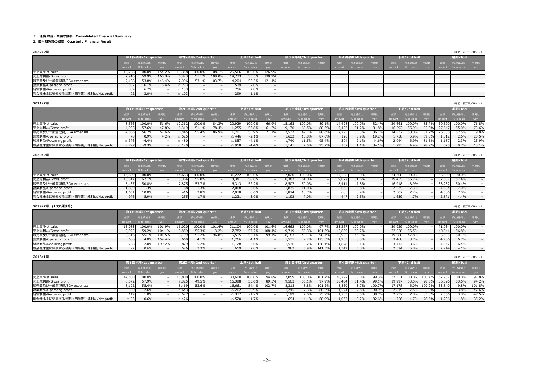#### Ⅰ.連結 財務・業績の推移 Consolidated Financial Summary

#### 2.四半期決算の概要 Quarterly Financial Result

| 2022/2期                             |                         |                   |                  |                                    |                          |        |                                    |               |               |                |                   |                 |                  |                   |                |                  |               |                   |                 | (単位:百万円/JPY mil) |                |
|-------------------------------------|-------------------------|-------------------|------------------|------------------------------------|--------------------------|--------|------------------------------------|---------------|---------------|----------------|-------------------|-----------------|------------------|-------------------|----------------|------------------|---------------|-------------------|-----------------|------------------|----------------|
|                                     |                         | 第1四半期/1st quarter |                  |                                    | 第2四半期/2nd quarter        |        |                                    | 上期/1st half   |               |                | 第3四半期/3rd quarter |                 |                  | 第4四半期/4th quarter |                |                  | 下期/2nd half   |                   |                 | 通期/Toal          |                |
|                                     | 金額                      | 売上構成比             | 前期比              | 金額                                 | 売上構成比                    | 前期比    | 金額                                 | 売上構成比         | 前期比           | 金額             | 売上構成比             | 前期比             | 金額               | 売上構成比             | 前期比            | 金額               | 売上構成比         | 前期比               |                 | 売上構成比            | 前期比            |
|                                     | amount                  | % to sales        | yoy              | amount                             | % to sales               | yoy    | amount                             | % to sales    | yoy           |                | % to sales        | yoy             |                  | % to sales        | yoy            | amount           | % to sales    | yoy               |                 | % to sales       | yoy            |
| 売上高/Net sales                       | 13,208                  | 100.0%            | 154.2%           | 13,358                             | 100.0%                   | 108.1  | 26,566                             | 100.0%        | 126.9         |                |                   |                 |                  |                   |                |                  |               |                   |                 |                  |                |
| 売上総利益/Gross profit                  | 7,910                   | 59.9%             | 160.3%           | 6,823                              | 51.1%                    | 108.09 | 14,733                             | 55.5%         | 130.9%        |                |                   |                 |                  |                   |                |                  |               |                   |                 |                  |                |
| 販売費及び一般管理費/SGA expenses             | 7,108                   | 53.8%             | 146.4%           | 7,096                              | 53.1%                    | 103.79 | 14,204                             | 53.5%         | 121.49        |                |                   |                 |                  |                   |                |                  |               |                   |                 |                  |                |
| 営業利益/Operating profit               | 802                     | 6.1%              | 1016.4%          | $\triangle$ 273                    |                          |        | 529                                | 2.0%          |               |                |                   |                 |                  |                   |                |                  |               |                   |                 |                  |                |
| 経常利益/Recurring profit               | 889                     | 6.7%              |                  | $\triangle$ 133                    |                          |        | 756                                | 2.8%          |               |                |                   |                 |                  |                   |                |                  |               |                   |                 |                  |                |
| 親会社株主に帰属する当期(四半期)純利益/Net profit     | 402                     | 3.0%              |                  | $\triangle$ 103                    | $\overline{\phantom{0}}$ |        | 299                                | 1.1%          |               |                |                   |                 |                  |                   |                |                  |               |                   |                 |                  |                |
|                                     |                         |                   |                  |                                    |                          |        |                                    |               |               |                |                   |                 |                  |                   |                |                  |               |                   |                 |                  |                |
| 2021/2期                             |                         |                   |                  |                                    |                          |        |                                    |               |               |                |                   |                 |                  |                   |                |                  |               |                   |                 | (単位:百万円/JPY mil) |                |
|                                     |                         | 第1四半期/1st quarter |                  |                                    | 第2四半期/2nd quarter        |        |                                    | 上期/1st half   |               |                | 第3四半期/3rd quarter |                 |                  | 第4四半期/4th quarter |                |                  | 下期/2nd half   |                   |                 | 通期/Toal          |                |
|                                     |                         |                   |                  |                                    |                          |        |                                    |               |               |                |                   |                 |                  |                   |                |                  |               |                   |                 |                  |                |
|                                     | 金額                      | 売上構成比             | 前期比              | 金額                                 | 売上構成比                    | 前期比    | 金額                                 | 売上構成比         | 前期比           | 前往金            | 売上構成比             | 前期比             | 金額               | 売上構成比             | 前期比            | 金額               | 売上構成比         | 前期比               | 金額              | 売上構成比            | 前期比            |
|                                     | amount                  | % to sales        | yoy              | amount                             | % to sales               | yoy    | amount                             | % to sales    | yoy           | amount         | % to sales        | yoy             | amount           | % to sales        | yoy            | amount           | % to sales    | yoy               | amount          | % to sales       | yoy            |
| 売上高/Net sales                       | 8,566                   | 100.0%            | 51.69            | 12,362                             | 100.0%                   | 84.3   | 20,929                             | 100.0%        | 66.99         | 15,163         | 100.0%            | 89.1            | 14,498           | 100.0%            | 82.49          | 29,661           | 100.0%        | 85.7 <sup>°</sup> | 50,590          | 100.0%           | 76.8%          |
| 売上総利益/Gross profit                  | 4,935                   | 57.6%             | 47.8%            | 6,319                              | 51.1%                    | 78.49  | 11,255                             | 53.8%         | 61.2%         | 9,170          | 60.5%             | 88.39           | 7,422            | 51.2%             | 81.8%          | 16,592           | 55.9%         | 85.39             | 27,847          | 55.0%            | 73.6%          |
| 販売費及び一般管理費/SGA expenses             | 4,856                   | 56.7%             | 57.6%            | 6.845                              | 55.4%                    | 86.99  | 11,701                             | 55.9%         | 71.7%         | 7,537          | 49.7%             | 88.6%           | 7,295            | 50.3%             | 86.7%          | 14,832           | 50.0%         | 87.79             | 26,535          | 52.5%            | 79.8%          |
| 営業利益/Operating profit               | - 78<br>$\triangle$ 376 | 0.9%<br>$-4.4%$   | 4.2%             | $\triangle$ 525<br>$\triangle$ 480 | $\overline{\phantom{a}}$ |        | $\triangle$ 446<br>$\triangle$ 857 | $-2.1%$       |               | 1,632          | 10.8%<br>11.5%    | 87.0%<br>95.4%  | 126<br>304       | 0.9%              | 19.2%<br>44.6% | 1,758<br>2,044   | 5.9%<br>6.9%  | 69.3%             | 1,312           | 2.6%<br>2.3%     | 28.5%<br>25.9% |
| 経常利益/Recurring profit               |                         |                   |                  |                                    | $\overline{\phantom{a}}$ |        |                                    | $-4.1%$       |               | 1,740          |                   |                 |                  | 2.1%              |                |                  |               | 81.59             | 1,187           |                  |                |
| 親会社株主に帰属する当期 (四半期) 純利益/Net profit   | $\triangle$ 797         | $-9.3%$           |                  | $\triangle$ 120                    | $\overline{\phantom{a}}$ |        | $\triangle$ 918                    | $-4.4%$       |               | 1,141          | 7.5%              | 95.7%           | 152              | 1.1%              | 34.1%          | 1,293            | 4.4%          | 78.99             | 375             | 0.7%             | 13.1%          |
| 2020/2期                             |                         |                   |                  |                                    |                          |        |                                    |               |               |                |                   |                 |                  |                   |                |                  |               |                   |                 | (単位:百万円/JPY mil) |                |
|                                     |                         | 第1四半期/1st quarter |                  |                                    | 第2四半期/2nd quarter        |        |                                    | 上期/1st half   |               |                | 第3四半期/3rd quarter |                 |                  | 第4四半期/4th quarter |                |                  | 下期/2nd half   |                   |                 | 通期/Toal          |                |
|                                     |                         |                   |                  |                                    | 売上構成比                    |        |                                    |               |               |                | 売上構成比             |                 |                  |                   |                |                  | 売上構成比         |                   |                 |                  |                |
|                                     | 金額                      | 売上構成比             | 前期比              | 金額                                 |                          | 前期比    | 金額                                 | 売上構成比         | 前期比           | 金額             |                   | 前期比             | 金額               | 売上構成比             | 前期比            | 金額               |               | 前期比               | 金額              | 売上構成比            | 前期比            |
|                                     | amount                  | % to sales        | yoy              | amount                             | % to sales               | yoy    | amount                             | % to sales    | yoy           | amount         | % to sales        | yoy             | amount           | % to sales        | yoy            | amount           | % to sales    |                   |                 | % to sales       | yoy            |
| 売上高/Net sales                       | 16,609                  | 100.0%            |                  | 14,663                             | 100.0%                   |        | 31,272                             | 100.0%        |               | 17,020         | 100.0%            |                 | 17,588           | 100.0%            |                | 34,608           | 100.0%        |                   | 65,880          | 100.0%           |                |
| 売上総利益/Gross profit                  | 10,317                  | 62.1%             |                  | 8,064                              | 55.0%                    |        | 18,381                             | 58.8%         |               | 10,383         | 61.0%             |                 | 9,072            | 51.6%             |                | 19,455           | 56.2%         |                   | 37,837          | 57.4%            |                |
| 販売費及び一般管理費/SGA expenses             | 8,43                    | 50.8%             |                  | 7,875                              | 53.7%                    |        | 16,313                             | 52.2%         |               | 8,507          | 50.0%             |                 | 8,411            | 47.8%             |                | 16,91            | 48.9%         |                   | 33,232          | 50.4%            |                |
| 営業利益/Operating profit               | 1,880                   | 11.3%             |                  | 188                                | 1.3%                     |        | 2,068                              | 6.6%          |               | 1,875          | 11.0%             |                 | 660              | 3.8%              |                | 2,535            | 7.3%          |                   | 4,604           | 7.0%             |                |
| 経常利益/Recurring profit               | 1,661<br>976            | 10.0%<br>5.9%     |                  | 416<br>255                         | 2.8%                     |        | 2,078<br>1,231                     | 6.6%<br>3.9%  |               | 1,824          | 10.7%             |                 | 683<br>447       | 3.9%<br>2.5%      |                | 2,50             | 7.2%          |                   | 4,586           | 7.0%             |                |
| 親会社株主に帰属する当期(四半期)純利益/Net profit     |                         |                   |                  |                                    | 1.7%                     |        |                                    |               |               | 1,192          | 7.0%              |                 |                  |                   |                | 1,639            | 4.7%          |                   | 2,871           | 4.4%             |                |
| 2019/2期 (13ケ月決算)                    |                         |                   |                  |                                    |                          |        |                                    |               |               |                |                   |                 |                  |                   |                |                  |               |                   |                 | (単位:百万円/JPY mil) |                |
|                                     |                         | 第1四半期/1st quarter |                  |                                    | 第2四半期/2nd quarter        |        |                                    | 上期/1st half   |               |                | 第3四半期/3rd quarter |                 |                  | 第4四半期/4th quarter |                |                  | 下期/2nd half   |                   |                 | 通期/Toal          |                |
|                                     | 金額                      | 売上構成比             | 前期比              | 金額                                 | 売上構成比                    | 前期比    | 金額                                 | 売上構成比         | 前期比           | 金額             | 売上構成比             | 前期比             | 金額               | 売上構成比             | 前期比            | 金額               | 売上構成比         | 前期比               | 金額              | 売上構成比            | 前期比            |
|                                     | amount                  | % to sales        |                  |                                    | % to sales               |        |                                    | % to sales    |               |                | % to sales        |                 |                  | % to sales        |                | amount           | % to sales    |                   | amount          | % to sales       |                |
|                                     |                         |                   | yoy              | amount                             |                          | yoy    | amount                             |               | yoy<br>101.69 | amount         |                   | yoy<br>97.7     | amount           |                   | yoy            |                  |               | yoy               |                 |                  | yoy            |
| 売上高/Net sales<br>売上総利益/Gross profit | 15,083                  | 100.0%<br>59.2%   | 101.9%           | 16,020                             | 100.0%                   | 101.49 | 31,104                             | 100.0%        | 108.4%        | 16.662         | 100.0%            |                 | 23,267           | 100.0%            |                | 39,929<br>22,558 | 100.0%        |                   | 71.034          | 100.0%           |                |
| 販売費及び一般管理費/SGA expenses             | 8,922                   | 55.1%             | 104.1%<br>101.5% | 8,859                              | 55.3%                    | 113.29 | 17,782                             | 57.2%         | 99.19         | 9,719          | 58.3%             | 101.69<br>98.49 | 12,839<br>10,905 | 55.2%<br>46.9%    |                |                  | 56.5%         |                   | 40,341          | 56.8%            |                |
| 営業利益/Operating profit               | 8,316<br>606            | 4.0%              | 159.4%           | 8,199<br>660                       | 51.2%<br>4.1%            | 96.8   | 16,515<br>1,266                    | 53.1%<br>4.1% |               | 8,183<br>1,535 | 49.1%<br>9.2%     | 123.3           | 1,933            | 8.3%              |                | 19,088<br>3,468  | 47.8%<br>8.7% |                   | 35,605<br>4,736 | 50.1%<br>6.7%    |                |
| 経常利益/Recurring profit               | 298                     | 2.0%              | 199.2%           | 829                                | 5.2%                     |        | 1,128                              | 3.6%          |               | 1,536          | 9.2%              | 128.1           | 1,878            | 8.1%              |                | 3,414            | 8.6%          |                   | 4,542           | 6.4%             |                |
| 親会社株主に帰属する当期(四半期)純利益/Net profit     | 92                      | 0.6%              |                  | 526                                | 3.3%                     |        | 619                                | 2.0%          |               | 982            | 5.9%              | 141.5%          | 1,342            | 5.8%              |                | 2,324            | 5.8%          |                   | 2,944           | 4.1%             |                |
|                                     |                         |                   |                  |                                    |                          |        |                                    |               |               |                |                   |                 |                  |                   |                |                  |               |                   |                 |                  |                |
| 2018/1期                             |                         |                   |                  |                                    |                          |        |                                    |               |               |                |                   |                 |                  |                   |                |                  |               |                   |                 | (単位:百万円/JPY mil) |                |
|                                     |                         | 第1四半期/1st quarter |                  |                                    | 第2四半期/2nd quarter        |        |                                    | 上期/1st half   |               |                | 第3四半期/3rd quarter |                 |                  | 第4四半期/4th quarter |                |                  | 下期/2nd half   |                   |                 | 通期/Toal          |                |
|                                     | 金額                      | 売上構成比             | 前期比              | 金額                                 | 売上構成比                    | 前期什    | 金額                                 | 売上構成比         | 前期比           | 金額             | 売上構成比             | 前期比             | 金額               | 売上構成比             | 前期比            | 金額               | 売上構成比         | 前期比               | 金額              | 売上構成比            | 前期比            |
|                                     | amount                  | % to sales        | yoy              | amount                             | % to sales               | yoy    | amount                             | % to sales    | yoy           | amount         | % to sales        | yoy             | amount           | % to sales        | yoy            | amount           | % to sales    | yoy               | amount          | % to sales       | yoy            |
| 売上高/Net sales                       | 14,800                  | 100.0%            |                  | 15,800                             | 100.0%                   |        | 30,600                             | 100.0%        | 94.8%         | 17,059         | 100.0%            | 101.79          | 20,292           | 100.0%            | 99.3%          | 37,351           | 100.0%        | 100.49            | 67,952          | 100.0%           | 97.8%          |
| 売上総利益/Gross profit                  | 8,572                   | 57.9%             |                  | 7,825                              | 49.5%                    |        | 16,398                             | 53.6%         | 89.5%         | 9,563          | 56.1%             | 97.9%           | 10,434           | 51.4%             | 99.1%          | 19,997           | 53.5%         | 98.59             | 36,396          | 53.6%            | 94.2%          |
| 販売費及び一般管理費/SGA expenses             | 8,192                   | 55.4%             |                  | 8,469                              | 53.6%                    |        | 16,661                             | 54.4%         | 102.7%        | 8,318          | 48.8%             | 101.29          | 8,860            | 43.7%             | 100.7%         | 17,178           | 46.0%         | 100.9%            | 33,840          | 49.8%            | 101.8%         |
| 営業利益/Operating profit               | 380                     | 2.6%              |                  | $\triangle$ 643                    | $\overline{\phantom{a}}$ |        | $\triangle$ 262                    | $-0.9%$       |               | 1,245          | 7.3%              | 80.5%           | 1,574            | 7.8%              | 90.9%          | 2,819            | 7.5%          | 85.9%             | 2,556           | 3.8%             | 47.6%          |
| 経常利益/Recurring profit               | 149                     | 1.0%              |                  | $\triangle$ 527                    | $\overline{\phantom{m}}$ |        | $\triangle$ 377                    | $-1.2%$       |               | 1,199          | 7.0%              | 75.9%           | 1,733            | 8.5%              | 88.7%          | 2,932            | 7.8%          | $83.0^{\circ}$    | 2,556           | 3.8%             | 47.5%          |
| 親会社株主に帰属する当期 (四半期) 純利益/Net profit   | $\triangle$ 93          | $-0.6%$           |                  | $\triangle$ 426                    |                          |        | $\triangle$ 520                    | $-1.7%$       |               | 694            | 4.1%              | 68.9%           | 1,062            | 5.2%              | 82.6%          | 1,756            | 4.7%          | 76.69             | 1,236           | 1.8%             | 35.2%          |
|                                     |                         |                   |                  |                                    |                          |        |                                    |               |               |                |                   |                 |                  |                   |                |                  |               |                   |                 |                  |                |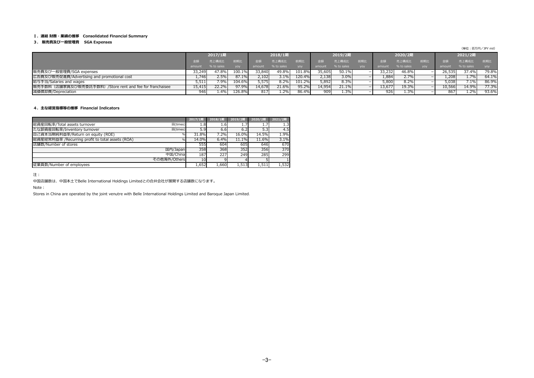#### Ⅰ.連結 財務・業績の推移 Consolidated Financial Summary

#### 3. 販売費及び⼀般管理費 SGA Expenses

(単位:百万円/JPY mil)

|                                                           |        | 2017/1期    |            |        | 2018/1期    |            |        | 2019/2期    |            |         | 2020/2期    |            |        | 2021/2期    |            |
|-----------------------------------------------------------|--------|------------|------------|--------|------------|------------|--------|------------|------------|---------|------------|------------|--------|------------|------------|
|                                                           |        | 売上構成比      |            |        | 売上構成比      |            |        | 売上構成比      |            |         | 売上横成比。     |            |        | 売上構成比      | 前期比        |
|                                                           | amount | % to sales | <b>VOV</b> | amount | % to sales | <b>VOV</b> | amount | % to sales | <b>VOV</b> | amount  | % to sales | <b>VOV</b> | amount | % to sales | <b>VOV</b> |
| 販売費及び一般管理費/SGA expenses                                   | 33.249 | 47.8%      | 100.1%     | 33,840 | 49.8%      | 101.8%     | 35.605 | 50.1%      |            | 33,2321 | 46.8%      |            | 26,535 | 37.4%      | 79.8%      |
| 広告費及び販売促進費/Advertising and promotional cost               | .746   | 2.5%       | 87.1%      | 2,102  | 3.1%       | 120.4%     | 2,138  | 3.0%       |            | 1,884   | 2.7%       |            | .,208  | 1.7%       | 64.1%      |
| 給与手当/Salaries and wages                                   | 5,511  | 7.9%       | 104.6%     | 5,575  | 8.2%       | 101.2%     | 5,892  | 8.3%       |            | 5,800   | 8.2%       |            | 5,038  | 7.1%       | 86.9%      |
| 販売手数料 (店舗家賃及び販売委託手数料) /Store rent and fee for franchaisee | 15,415 | 22.2%      | 97.9%      | 14,678 | 21.6%      | 95.2%      | 14,954 | 21.1%      |            | 13,677  | 19.3%      |            | 10,566 | 14.9%      | 77.3%      |
| 減価償却費/Depreciation                                        | 946    | 1.4%       | 126.8%     | 817    | 1.2%       | 86.4%      | 909    | 1.3%       |            | 926     | 1.3%       |            | 867    | 1.2%       | 93.6%      |

#### 4.主な経営指標等の推移 Financial Indicators

|                                                   |              | 2017/1期 | 2018/1期  | 2019/2期       | 2020/2期          | 2021/2期 |
|---------------------------------------------------|--------------|---------|----------|---------------|------------------|---------|
| 総資産回転率/Total assets turnover                      | 回(times)     | 1.8     | 1.6      | $1.7^{\circ}$ | 1.7              | 1.3     |
| たな卸資産回転率/Inventory turnover                       | 回(times)     | 5.9     | 6.6      | 6.2           | 5.3 <sub>l</sub> | 4.5     |
| 自己資本当期純利益率/Return on equity (ROE)                 |              | 31.8%   | 7.2%     | 16.0%         | 14.5%            | 1.9%    |
| 総資産経常利益率 / Recurring profit to total assets (ROA) | $\%$         | 14.0%   | 6.4%     | 11.1%         | 11.6%            | 3.1%    |
| 店舗数/Number of stores                              |              | 555     | 604      | 605           | 646              | 670     |
|                                                   | 国内/Japan     | 358     | 368      | 352           | 356              | 370     |
|                                                   | 中国/China     | 187     | 227      | 249           | 285              | 299     |
|                                                   | その他海外/Others | 10      | $\alpha$ |               |                  |         |
| 従業員数/Number of employees                          |              | 1,652   | 1,660    | 1,513         | 1,511            | 1,532   |

注:

中国店舗数は、中国本土でBelle International Holdings Limitedとの合弁会社が展開する店舗数になります。

Note:

Stores in China are operated by the joint venutre with Belle International Holdings Limited and Baroque Japan Limited.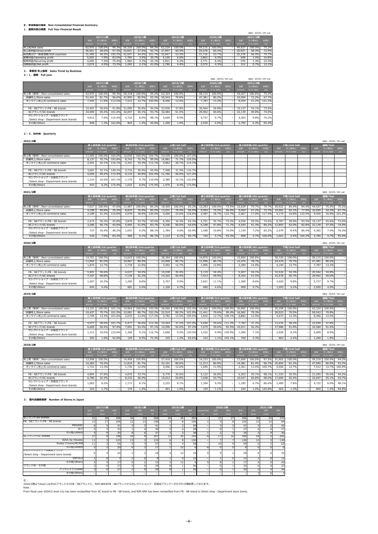### Ⅱ.単体業績の推移 Non-Consolidated Financial Summary

### 1.通期決算の概要 Full Year Financial Result

### 2. 事業別 売上推移 Sales Trend by Business

2-1.通期 Full year

# 2-2.四半期 Quarterly

2022/2期 (単位︓百万円/JPY mil)

|                         |        |            |        |        |            |        |        |            |     |        |            |     |        | (単位:百万円/JPY mil) |       |
|-------------------------|--------|------------|--------|--------|------------|--------|--------|------------|-----|--------|------------|-----|--------|------------------|-------|
|                         |        | 2017/1期    |        |        | 2018/1期    |        |        | 2019/2期    |     |        | 2020/2期    |     |        | 2021/2期          |       |
|                         | 金額     | 売上構成比      | 前期比    | 金額     | 売上構成比      | 前期比    | 金額     | 売上構成比      | 前期比 | 金額     | 売上構成比      | 前期比 | 金額     | 売上構成比            | 前期比   |
|                         | amount | % to sales | yoy    | amount | % to sales | yoy    | amount | % to sales | yoy | amount | % to sales | yoy | amount | % to sales       | yoy   |
| 売上高/Net sales           | 62,970 | 100.0%     | 99.3%  | 59,318 | 100.0%     | 94.2%  | 63.324 | 100.0%     |     | 59,115 | 100.0%     |     | 44,427 | 100.0%           | 75.2% |
| 売上総利益/Gross profit      | 36,501 | 58.0%      | 97.5%  | 33,831 | 57.0%      | 92.7%  | 37,997 | 60.0%      |     | 35,578 | 60.2%      |     | 25,927 | 58.4%            | 72.9% |
| 販売費及び一般管理費/SGA expenses | 31,498 | 50.0%      | 100.2% | 32.047 | 54.0%      | 101.7% | 33.847 | 53.5%      |     | 31,716 | 53.7%      |     | 25,278 | 56.9%            | 79.7% |
| 営業利益/Operating profit   | 5,002  | 7.9%       | 83.0%  | 1.784  | 3.0%       | 35.7%  | 4,150  | 6.6%       |     | 3,862  | 6.5%       |     | 648    | $1.5\%$          | 16.8% |
| 経常利益/Recurring profit   | 4.655  | 7.4%       | 75.4%  | 1,960  | 3.3%       | 42.1%  | 3.901  | 6.2%       |     | 3.771  | 6.4%       |     | 576    | 1.3%             | 15.3% |
| 当期純利益/Net profit        | 3.074  | 4.9%       | 73.3%  | 1,260  | 2.1%       | 41.0%  | 2,780  | 4.4%       |     | 2,570  | 4.3%       |     | 312    | 0.7%             | 12.1% |

|                                        |        |            |        |        |            |        |        |            |                          |        | (単位:百万円/JPY mil) |     |        | (単位:百万円/JPY mil) |        |
|----------------------------------------|--------|------------|--------|--------|------------|--------|--------|------------|--------------------------|--------|------------------|-----|--------|------------------|--------|
|                                        |        | 2017/1期    |        |        | 2018/1期    |        |        | 2019/2期    |                          |        | 2020/2期          |     |        | 2021/2期          |        |
|                                        | 金額     | 売上構成比      | 前期比    | 金額     | 売上構成比      | 前期比    | 金額     | 売上構成比      | 前期比                      | 金額     | 売上構成比            | 前期比 | 金額     | 売上構成比            | 前期比    |
|                                        | amount | % to sales | yoy    | amount | % to sales | yoy    | amount | % to sales | yoy                      | amount | % to sales       | yoy | amount | % to sales       | yoy    |
| 売上高 (単体) /Non-consolidated sales       | 62,970 | 100.0%     | 99.3%  | 59,318 | 100.0%     | 94.2%  | 63,324 | 100.0%     |                          | 59,115 | 100.0%           |     | 44,427 | 100.0%           | 75.2%  |
| 店舗売上/Store sales                       | 51,441 | 81.7%      | 96.6%  | 47,995 | 80.9%      | 93.3%  | 50,543 | 79.8%      |                          | 47.381 | 80.2%            |     | 32,094 | 72.2%            | 67.7%  |
| オンライン売上/E commerce sales               | 445.'  | 11.8%      | 113.5% | 7.512  | 12.7%      | 100.9% | 8.456  | 13.4%      |                          | 7.787  | 13.2%            |     | 9,435  | 21.2%            | 121.2% |
|                                        |        |            |        |        |            |        |        |            |                          |        |                  |     |        |                  |        |
| FB・SBブランド/FB・SB brands                 | 22,401 | 35.6%      | 91.8%  | 21,095 | 35.6%      | 94.2%  | 23,930 | 37.8%      |                          | 20.564 | 34.8%            |     | 15.137 | 34.1%            | 73.6%  |
| SCブランド/SC brands                       | 34,909 | 55.4%      | 101.6% | 32,697 | 55.1%      | 93.7%  | 32,584 | 51.5%      |                          | 29,902 | 50.6%            |     | 22,139 | 49.8%            | 74.0%  |
| セレクトショップ・百貨店ブランド                       | 4,812  | 7.6%       | 116.4% | 4.722  | 8.0%       | 98.1%  | 5.609  | 8.9%       |                          | 5.727  | 9.7%             |     | 4,365  | 9.8%             | 76.2%  |
| /Select shop · Department store brands |        |            |        |        |            |        |        |            |                          |        |                  |     |        |                  |        |
| その他/Others                             | 848    | 1.3%       | 162.8% | 804    | 1.4%       | 94.8%  | 1,200  | 1.9%       | $\overline{\phantom{a}}$ | 2,920  | 4.9%             |     | 2,785  | 6.3%             | 95.4%  |
|                                        |        |            |        |        |            |        |        |            |                          |        |                  |     |        |                  |        |

|                                        |        | 第1四半期/1st quarter |            |        | 第2四半期/2nd quarter     |        |               | 上期/1st half           |               | 第3四半期/3rd quarter     |  | 第4四半期/4th quarter     |    | 下期/2nd half           |    | 通期/Toal               |  |
|----------------------------------------|--------|-------------------|------------|--------|-----------------------|--------|---------------|-----------------------|---------------|-----------------------|--|-----------------------|----|-----------------------|----|-----------------------|--|
|                                        |        | 売上構成比 前期比         |            |        | 金額 売上構成比 前期比          |        | <b>金額</b>     | 売上構成比   前期比           |               | 金額 売上構成比 前期比          |  | 金額 売上構成比 前期比          | 金額 | 売上構成比 前期比             | 金額 | 売上構成比  前期比            |  |
|                                        |        | amount % to sales | <b>VOV</b> |        | amount % to sales yoy |        |               | amount % to sales yoy |               | amount % to sales yoy |  | amount % to sales yoy |    | amount % to sales yoy |    | amount % to sales yoy |  |
| 売上高 (単体) /Non-consolidated sales       | 11,505 | 100.0%            | 164.0%     | 12.030 | 100.0%                |        | 104.7% 23,535 |                       | 100.0% 127.2% |                       |  |                       |    |                       |    |                       |  |
| 店舗売上/Store sales                       | 8,137  | 70.7%             | 193.8%     | 8,743  | 72.7%                 | 99.0%  | 16,881        | 71.7%                 | 129.5%        |                       |  |                       |    |                       |    |                       |  |
| オンライン売上/E commerce sales               | 2.541  | 22.1%             | 116.1%     | 2,321  | 19.3%                 | 112.1% | 4,862         | 20.7%                 | 114.1%        |                       |  |                       |    |                       |    |                       |  |
|                                        |        |                   |            |        |                       |        |               |                       |               |                       |  |                       |    |                       |    |                       |  |
| FB・SBブランド/FB・SB brands                 | 3.691  | 32.1%             | 149.2%     | 3.716  | 30.9%                 | 95.9%  | 7,408         | 31.5%                 | 116.7%        |                       |  |                       |    |                       |    |                       |  |
| SCブランド/SC brands                       | 5.655  | 49.2%             | 172.4%     | 6.110  | 50.8%                 |        | 102.4% 11,766 | 50.0%                 | 127.2%        |                       |  |                       |    |                       |    |                       |  |
| セレクトショップ・百貨店ブランド                       | 1.214  | 10.6%             | 167.1%     | 1.170  | $9.7\%$               | 110.6% | 2,385         | 10.1%                 | 133.6%        |                       |  |                       |    |                       |    |                       |  |
| /Select shop · Department store brands |        |                   |            |        |                       |        |               |                       |               |                       |  |                       |    |                       |    |                       |  |
| その他/Others                             | 943    | 8.2%              | 175.9%     | 1,032  | 8.6%                  | 175.9% | 1.976         | $8.4\%$               | 175.9%        |                       |  |                       |    |                       |    |                       |  |

| 2021/2期                                |        |                                |            |        |                   |        |        |             |            |        |                   |            |        |                   |            |        |             |            |        | (単位:百万円/JPY mil) |        |
|----------------------------------------|--------|--------------------------------|------------|--------|-------------------|--------|--------|-------------|------------|--------|-------------------|------------|--------|-------------------|------------|--------|-------------|------------|--------|------------------|--------|
|                                        |        | <sup>'</sup> 第1四半期/1st quarter |            |        | 第2四半期/2nd quarter |        |        | 上期/1st half |            |        | 第3四半期/3rd quarter |            |        | 第4四半期/4th quarter |            |        | 下期/2nd half |            |        | 通期/Toal          |        |
|                                        |        | 売上構成比                          |            | 余额     |                   | 前期比    |        | 売上構成比       | 前期比        |        | 売上構成比             | 前期比        |        |                   | 前期比        |        | 売上構成比       | 一面期间       | 金額     | 売上構成比            | 前期比    |
|                                        | amount | % to sales                     | <b>VOV</b> | amount | % to sales        | yoy    | amount | % to sales  | <b>VOV</b> | amount | % to sales        | <b>VOV</b> | amount | % to sales        | <b>yoy</b> | amount | % to sales  | <b>VOV</b> | amount | % to sales       | yoy    |
| 売上高 (単体) /Non-consolidated sales       | 7.017  | 100.0%                         | 47.69      | 11,487 | 100.0%            | 84.2%  | 18,505 | 100.0%      | 65.2%      | 13,293 | 100.0%            | 73.5%      | 12.629 | 79.7%             | 79.7%      | 25,922 | 84.4%       | 84.4%      | 44,427 | 75.2%            | 75.2%  |
| 店舗売上/Store sales                       | 4.198  | 59.8%                          | 35.2%      | 8,833  | 76.9%             | 80.5%  | 13,031 | 70.4%       | 56.9%      | 9,993  | 75.2%             | 66.0%      | 9,069  | 57.2%             | 72.7%      | 19,062 | 62.1%       | 77.9%      | 32,094 | 54.3%            | 67.7%  |
| オンライン売上/E commerce sales               | 2.189  | 31.2%                          | 116.8%     | 2.070  | 18.0%             | 120.5% | 4.260  | 23.0%       | 118.6%     | 2.487  | 18.7%             | 122.7%     | 2.687  | 17.0%             | 117.4%     | 5.174  | 16.8%       | 123.4%     | 9.435  | 16.0%            | 121.2% |
|                                        |        |                                |            |        |                   |        |        |             |            |        |                   |            |        |                   |            |        |             |            |        |                  |        |
| FB・SBブランド/FB・SB brands                 | 2.473  | 35.2%                          | 45.8%      | 3.876  | 33.7%             | 83.6%  | 6,350  | 34.3%       | 63.3%      | 4,751  | 35.7%             | 73.2%      | 4.036  | 25.5%             | 74.6%      | 8.787  | 28.6%       | 83.5%      | 15,137 | 25.6%            | 73.6%  |
| SCブランド/SC brands                       | 3,280  | 46.7%                          | 45.6%      | 5,965  | 51.9%             | 83.7%  | 9,246  | 50.0%       | 64.6%      | 6.348  | 47.8%             | 71.7%      | 6,545  | 41.3%             | 80.2%      | 12,893 | 42.0%       | 82.8%      | 22,139 | 37.5%            | 74.0%  |
| セレクトショップ・百貨店ブランド                       | 727    | 10.4%                          | 48.2%      | 1,057  | 9.2%              | 88.1%  | 1,784  | 9.6%        | 65.9%      | 1,440  | 10.8%             | 74.0%      | 1,139  | 7.2%              | 83.2%      | 2.579  | 8.4%        | 85.4%      | 4.365  | 7.4%             | 76.2%  |
| /Select shop · Department store brands |        |                                |            |        |                   |        |        |             |            |        |                   |            |        |                   |            |        |             |            |        |                  |        |
| その他/Others                             | 536    | 7.6%                           | 83.2%      | 586    | 5.1%              | 86.1%  | 1,123  | 6.1%        | 84.7%      | 753    | 5.7%              | 93.3%      | 908    | 5.7%              | 100.0%     | 1,661  | 5.4%        | 104.3%     | 2,785  | 4.7%             | 95.4%  |

| 2020/2期                                |        |                   |                          |        |                   |            |        |             |            |        |                   |            |        |                   |            |        |             |                          |        | (単位:百万円/JPY mil) |            |
|----------------------------------------|--------|-------------------|--------------------------|--------|-------------------|------------|--------|-------------|------------|--------|-------------------|------------|--------|-------------------|------------|--------|-------------|--------------------------|--------|------------------|------------|
|                                        |        | 第1四半期/1st quarter |                          |        | 第2四半期/2nd quarter |            |        | 上期/1st half |            |        | 第3四半期/3rd quarter |            |        | 第4四半期/4th quarter |            |        | 下期/2nd half |                          |        | 通期/Toal          |            |
|                                        | 金額     | 売上構成比             | 前期比                      |        | 売上構成比             |            |        | 売上構成比       | 前期比        | 金額     | 売上構成比             | 前期比        |        | 売上構成比             | 前期比        |        | 売上構成比       | 前期比                      | 金額     | 売上構成比            | 前期比        |
|                                        | amount | % to sales        | <b>VOV</b>               | amount | % to sales        | <b>VOV</b> | amount | % to sales  | <b>VOV</b> | amount | % to sales        | <b>VOV</b> | amount | % to sales        | <b>VOV</b> | amount | % to sales  | <b>VOV</b>               | amount | % to sales       | <b>VOV</b> |
| 売上高 (単体) /Non-consolidated sales       | 14,751 | 100.0%            |                          | 13.643 | 100.0%            |            | 28.394 | 100.0%      |            | 14,870 | 100.0%            |            | 15,850 | 100.0%            |            | 30,720 | 100.0%      |                          | 59,115 | 100.0%           |            |
| 店舗売上/Store sales                       | 11,942 | 81.0%             |                          | 10,967 | 80.4%             |            | 22,909 | 80.7%       |            | 11,996 | 80.7%             |            | 12,474 | 78.7%             |            | 24,470 | 79.7%       |                          | 47,381 | 80.2%            |            |
| オンライン売上/E commerce sales               | 1.874  | 12.7%             |                          | 1,718  | 12.6%             |            | 3,592  | 12.7%       |            | 1,905  | 12.8%             |            | 2.289  | 14.4%             |            | 4.194  | 13.7%       |                          | 7.787  | 13.2%            |            |
|                                        |        |                   |                          |        |                   |            |        |             |            |        |                   |            |        |                   |            |        |             |                          |        |                  |            |
| FB・SBブランド/FB・SB brands                 | 5.401  | 36.6%             |                          | 4.637  | 34.0%             |            | 10.038 | 35.4%       |            | 5.119  | 34.4%             |            | 5,407  | 34.1%             |            | 10.526 | 34.3%       |                          | 20,564 | 34.8%            |            |
| SCブランド/SC brands                       | 7,197  | 48.8%             |                          | 7,124  | 52.2%             |            | 14,322 | 50.4%       |            | 7,413  | 49.9%             |            | 8,165  | 51.5%             |            | 15,578 | 50.7%       |                          | 29,902 | 50.6%            |            |
| セレクトショップ・百貨店ブランド                       | 1,507  | 10.2%             |                          | 1,200  | 8.8%              |            | 2.707  | 9.5%        |            | 1,651  | 11.1%             |            | 1,369  | 8.6%              |            | 3,020  | 9.8%        | $\overline{\phantom{0}}$ | 5,727  | 9.7%             |            |
| /Select shop · Department store brands |        |                   |                          |        |                   |            |        |             |            |        |                   |            |        |                   |            |        |             |                          |        |                  |            |
| その他/Others                             | 645    | 4.4%              | $\overline{\phantom{0}}$ | 681    | 5.0%              |            | ,326   | 4.7%        |            | 685    | 4.6%              |            | 908    | 5.7%              |            | 1,593  | 5.2%        |                          | 2,920  | 4.9%             |            |

| 2019/2期                                |        |                   |            |        |                   |        |              |             |            |        |                   |        |        |                   |     |        |             |            |        | (単位:百万円/JPY mil)  |     |
|----------------------------------------|--------|-------------------|------------|--------|-------------------|--------|--------------|-------------|------------|--------|-------------------|--------|--------|-------------------|-----|--------|-------------|------------|--------|-------------------|-----|
|                                        |        | 第1四半期/1st quarter |            |        | 第2四半期/2nd quarter |        |              | 上期/1st half |            |        | 第3四半期/3rd quarter |        |        | 第4四半期/4th quarter |     |        | 下期/2nd half |            |        | 通期/Toal           |     |
|                                        |        | 売上構成比             | 前期比        | 金額     | 売上構成比             | 前期比    |              | 売上構成比       | 前期比        |        | 売上構成比             | 前期比    | 金額     | 売上構成比             | 前期比 |        | 売上構成比       | 前期比        | 余額     | 売上構成比             | 前期比 |
|                                        | amount | % to sales        | <b>VOV</b> | amount | % to sales        | yoy    | amount       | % to sales  | <b>VOV</b> | amount | % to sales        | yoy    | amount | % to sales        | yoy | amount | % to sales  | <b>VOV</b> |        | amount % to sales | yoy |
| 売上高 (単体) /Non-consolidated sales       | 13,101 | 100.0%            | 101.1%     | 14,964 | 100.0%            | 103.5% | 28,066       | 100.0%      | 102.4%     | 14.366 | 100.0%            | 100.9% | 20.892 | 100.0%            |     | 35,258 | 100.0%      |            | 63,324 | 100.0%            |     |
| 店舗売上/Store sales                       | 10,437 | 79.7%             | 101.5%     | 12,081 | 80.7%             | 102.2% | 22,519       | 80.2%       | 101.9%     | 11,441 | 79.6%             | 99.4%  | 16,582 | 79.3%             |     | 28,023 | 79.5%       |            | 50,543 | 79.8%             |     |
| オンライン売上/E commerce sales               | 1.749  | 13.4%             | 101.6%     | 2.033  | 13.6%             | 117.2% | 3.782        | 13.5%       | 109.5%     | 1,832  | 12.7%             | 108.1% | 2.841  | 13.5%             |     | 4,673  | 13.3%       |            | 8.456  | 13.4%             |     |
|                                        |        |                   |            |        |                   |        |              |             |            |        |                   |        |        |                   |     |        |             |            |        |                   |     |
| FB・SBブランド/FB・SB brands                 | 4.977  | 38.0%             | 101.7%     | 5.477  | 36.6%             | 112.3% | 10,454       | 37.2%       | 107.0%     | 5.694  | 39.6%             | 111.2% | 7.782  | 37.2%             |     | 13,476 | 38.2%       |            | 23,930 | 37.8%             |     |
| SCブランド/SC brands                       | 6.605  | 50.4%             | 97.4%      | 7,991  | 53.4%             |        | 97.1% 14,596 | 52.0%       | 97.2%      | 7.075  | 39.6%             | 92.5%  | 10,911 | 52.2%             |     | 17,986 | 51.0%       |            | 32,584 | 51.5%             |     |
| セレクトショップ・百貨店ブランド                       | 1,313  | 10.0%             | 123.6%     | 1.366  | 9.1%              | 116.7% | 2,680        | 9.5%        | 120.0%     | L.432  | 9.9%              | 109.9% | 1.496  | 7.1%              |     | 2.928  | 8.3%        |            | 5.609  | 8.9%              |     |
| /Select shop · Department store brands |        |                   |            |        |                   |        |              |             |            |        |                   |        |        |                   |     |        |             |            |        |                   |     |
| その他/Others                             | 205    | 1.6%              | 92.8%      | 129    | 0.9%              | 72.3%  | 335          | 1.2%        | 83.6%      | 163    | $1.1\%$           | 103.1% | 700    | 3.3%              |     | 863    | 2.4%        |            | 1,200  | 1.9%              |     |

### 3. 国内店舗数推移 Number of Stores in Japan

| 2018/1期                                |        |                   |            |        |                   |     |        |             |            |        |                   |                          |        |                   |        |        |             |            |        | (単位:百万円/JPY mil) |            |
|----------------------------------------|--------|-------------------|------------|--------|-------------------|-----|--------|-------------|------------|--------|-------------------|--------------------------|--------|-------------------|--------|--------|-------------|------------|--------|------------------|------------|
|                                        |        | 第1四半期/1st quarter |            |        | 第2四半期/2nd quarter |     |        | 上期/1st half |            |        | 第3四半期/3rd quarter |                          |        | 第4四半期/4th quarter |        |        | 下期/2nd half |            |        | 通期/Toal          |            |
|                                        |        | 売上構成比             | 前期比        | 金額     | 売上構成比             | 前期比 |        | 売上構成比       | 前期比        |        | 売上構成比             | 前期比                      | 余額     | 売上構成比             | 前期比    | 命額     | 売上構成比       | 前期比        |        | 売上構成比            | 前期比        |
|                                        | amount | % to sales        | <b>VOV</b> | amount | % to sales        | yoy | amount | % to sales  | <b>VOV</b> | amount | % to sales        | <b>VOV</b>               | amount | % to sales        | yoy    | amount | % to sales  | <b>VOV</b> | amount | % to sales       | <b>VOV</b> |
| 売上高 (単体) /Non-consolidated sales       | 12.958 | 100.0%            |            | 14,458 | 100.0%            |     | 27,416 | 100.0%      |            | 14,233 | 100.0%            |                          | 17.669 | 100.0%            | 97.5%  | 31,902 | 100.0%      |            | 59,318 | 100.0%           | 94.2%      |
| 店舗売上/Store sales                       | 10,283 | 79.4%             |            | 11,818 | 81.7%             |     | 22,101 | 80.6%       |            | 11,513 | 80.9%             |                          | 14,381 | 81.4%             | 96.7%  | 25,894 | 81.2%       |            | 47,995 | 80.9%            | 93.3%      |
| オンライン売上/E commerce sales               | 1,721  | 13.3%             |            | 1,735  | 12.0%             |     | 3,456  | 12.6%       |            | 1,695  | 11.9%             |                          | 2,361  | 13.4%             | 105.7% | 4,056  | 12.7%       |            | 7,512  | 12.7%            | 100.9%     |
|                                        |        |                   |            |        |                   |     |        |             |            |        |                   |                          |        |                   |        |        |             |            |        |                  |            |
| FB・SBブランド/FB・SB brands                 | 4.894  | 37.8%             |            | 4.876  | 33.7%             |     | 9.770  | 35.6%       |            | 5.122  | 36.0%             |                          | 6,203  | 35.1%             | 98.1%  | 11,325 | 35.5%       |            | 21.095 | 35.6%            | 94.2%      |
| SCブランド/SC brands                       | 6,780  | 52.3%             |            | 8,232  | 56.9%             |     | 15,012 | 54.8%       |            | 7.648  | 53.7%             |                          | 10,037 | 56.8%             | 98.0%  | 17,685 | 55.4%       |            | 32,697 | 55.1%            | 93.7%      |
| セレクトショップ・百貨店ブランド                       | 1,062  | 8.2%              |            | 1.171  | 8.1%              |     | 2,233  | 8.1%        |            | 1.304  | 9.2%              | $\overline{\phantom{0}}$ | 1,185  | 6.7%              | 86.6%  | 2.489  | 7.8%        |            | 4.722  | 8.0%             | 98.1%      |
| /Select shop · Department store brands |        |                   |            |        |                   |     |        |             |            |        |                   |                          |        |                   |        |        |             |            |        |                  |            |
| その他/Others                             | 222    | 1.7%              |            | 179    | 1.2%              |     | 401    | 1.5%        |            | 159    | 1.1%              | $\overline{\phantom{0}}$ | 244    | 1.4%              | 125.8% | 403    | 1.3%        |            | 804    | L.4%             | 94.8%      |

|                                        |                | 2017/1期        |                 |      | 2018/1期 |     |                | 2019/2期 |     |                          |      | 2020/2期 |     |                 | 2021/2期  |                |
|----------------------------------------|----------------|----------------|-----------------|------|---------|-----|----------------|---------|-----|--------------------------|------|---------|-----|-----------------|----------|----------------|
|                                        | 出店             | 閉店             | 期末              | 出店   | 閉店      | 期末  | 出店             | 閉店      | 期末  | reclassificati           | 出店   | 閉店      | 期末  | 出店              | 閉店       | 期末             |
|                                        | Open           | Close          | <b>YE</b>       | Open | Close   | YE. | Open           | Close   | YE. | on                       | Open | Close   | YE. | Open            | Close    | YE.            |
| 全フランド/All Brands                       | 51             | 29             | 358             | 34   | 24      | 368 | 30             | 46      | 352 | $\overline{\phantom{a}}$ | 31   | 27      | 356 | 38              | 24       | 370            |
| FB・SBフランド/FB・SB brands                 | 15             | 17             | 109             | 12   | 13      | 108 | 6.             |         | 106 |                          |      |         | 104 | 10 <sup>1</sup> | 15       | 99             |
| <b>MOUSSY</b>                          | 6              |                | 41              |      |         | 41  |                |         | 40  | $\overline{\phantom{a}}$ |      |         | 41  |                 |          | 42             |
| <b>SLY</b>                             |                |                | 33              |      |         | 30  |                |         | 28  | $\overline{\phantom{a}}$ |      |         | 27  |                 |          | 27             |
| その他/Others                             | $\overline{4}$ | 9              | 35              |      |         | 37  | 3 <sup>1</sup> |         | 38  |                          |      |         | 36  |                 | q        | 30             |
| SCブランド/SC brands                       | 27             | 8              | 198             | 18   |         | 207 | 12             | 25      | 194 | $-6$                     | 17   | 16      | 189 | 18              |          | 202            |
| AZUL by moussy                         | 11             |                | 123             | 13   |         | 133 | $6 \mid$       |         | 130 | $\overline{\phantom{a}}$ |      |         | 130 | 12              |          | 139            |
| Rodeo Crowns/RCWB                      | 11             |                | 55              |      |         | 57  |                |         | 58  |                          | 10   |         | 59  |                 |          | 63             |
| その他/Others                             |                |                | 20 <sub>1</sub> |      |         | 17  |                | 12      |     | $-6$                     |      |         |     | $\Omega$        |          | $\overline{0}$ |
| セレクトショップ・白貨店フランド                       |                |                | 24              |      |         | 24  |                | 12      | 16  |                          |      |         | 28  |                 |          | 32             |
| /Select shop · Department store brands |                |                |                 |      |         |     |                |         |     |                          |      |         |     |                 |          |                |
| <b>ENFOLD</b>                          |                | $\overline{0}$ |                 |      |         | 9   |                |         | 10  | $\overline{\phantom{a}}$ |      |         | 11  |                 | $\Omega$ | 12             |
| その他/Others                             |                |                | 17              |      |         | 15  | 3              | 12      |     |                          |      |         | 17  |                 |          | 20             |
| フランド別・その他                              |                | $\Omega$       | 27              |      |         | 29  | 8              |         | 36  |                          |      |         | 35  |                 |          | 37             |
| アウトレット/Outlet                          |                | $\overline{0}$ | 27              |      |         | 29  | 8 <sup>1</sup> |         | 36  | $\overline{\phantom{0}}$ |      |         | 35  |                 |          | 34             |
| その他/Others                             | —              |                |                 |      |         |     |                |         |     |                          |      |         |     |                 |          |                |

汪:

2020/2期よりAvan LilyをSCブランドからFB・SBブランドに、RIM.ARKをFB・SBブランドからセレクトショップ・百貨店ブランドへそれぞれ分類変更しております。

#### Note :

From fiscal year 2020/2 Avan Lily has been reclassified from SC brand to FB・SB brand, and RIM.ARK has been reclassified from FB・SB brand to Select shop・Department store brand.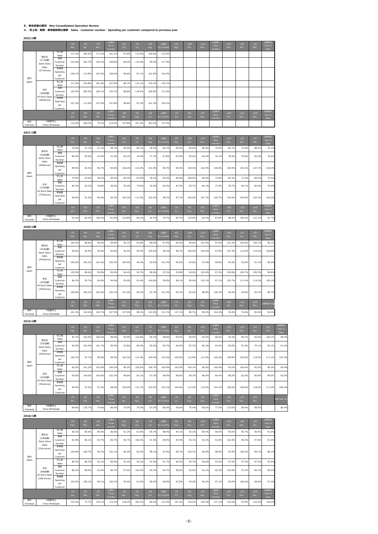### Ⅱ.単体営業の概況 Non-Consolidated Operation Review

4. 売上高・客数・客単価前期比推移 Sales・Customer number・Spending per customer compared to previous year

# 2021/2期

# 2020/2期

|                |                                  |                                    | 3月<br>Mar. | 4月<br>Apr. | 5月<br>May. | 10累計<br>Three<br>months        | 6月<br>Jun. | 7月<br>Jul. | 8月<br>Aug. | 上期計<br>Six months | 9月<br>Sep. | 10月<br>Oct. | 11月<br>Nov. | 3Q累計<br>Nine<br>months | 12月<br>Dec. | 1月<br>Jan.  | 2月<br>Feb.  | 当期累計<br>Year to<br>Date |
|----------------|----------------------------------|------------------------------------|------------|------------|------------|--------------------------------|------------|------------|------------|-------------------|------------|-------------|-------------|------------------------|-------------|-------------|-------------|-------------------------|
|                | 既存店                              | 売上高<br>Sales                       | 111.2%     | 300.0%     | 171.5%     | 161.2%                         | 87.8%      | 113.0%     | 100.6%     | 123.0%            |            |             |             |                        |             |             |             |                         |
|                | (317店舗)<br>Same Store            | 客数<br>Customer<br>Number           | 102.8%     | 263.7%     | 159.3%     | 148.8%                         | 89.0%      | 116.4%     | 99.0%      | 117.9%            |            |             |             |                        |             |             |             |                         |
| 国内             | Sales<br>(317stores)             | 客単価<br>Spending<br>per<br>Customer | 108.1%     | 113.8%     | 107.6%     | 108.4%                         | 98.6%      | 97.1%      | 101.6%     | 104.4%            |            |             |             |                        |             |             |             |                         |
| Japan          |                                  | 売上高<br>Sales                       | 113.3%     | 324.8%     | 181.0%     | 167.8%                         | 88.7%      | 115.1%     | 102.2%     | 126.1%            |            |             |             |                        |             |             |             |                         |
|                | 全店<br>(369店舗)<br>All Store Sales | 客数<br>Customer<br>Number           | 105.5%     | 285.3%     | 169.1%     | 155.7%                         | 89.8%      | 118.5%     | 100.8%     | 121.0%            |            |             |             |                        |             |             |             |                         |
|                | (369stores)                      | 客単価<br>Spending<br>per<br>Customer | 107.4%     | 113.9%     | 107.0%     | 107.8%                         | 98.8%      | 97.2%      | 101.3%     | 104.2%            |            |             |             |                        |             |             |             |                         |
|                |                                  |                                    | 1月<br>Jan. | 2月<br>Feb. | 3月<br>Mar. | <b>10累計</b><br>Three<br>months | 4月<br>Apr. | 5月<br>May. | 6月<br>Jun. | 上期計<br>Six months | 7月<br>Jul. | 8月<br>Aug.  | 9月<br>Sep.  | 30累計<br>Nine<br>months | 10月<br>Oct. | 11月<br>Nov. | 12月<br>Dec. | 当期累計<br>Year to<br>Date |
| 海外<br>Overseas | 中国卸売上<br>China Wholesale         |                                    | 133.0%     | 208.2%     | 79.1%      | 119.0%                         | 107.8%     | 221.3%     | 363.4%     | 137.4%            |            |             |             |                        |             |             |             |                         |

|                |                                  |                                    | 3月<br>Mar.    | 4月<br>Apr. | 5月<br>May. | 1Q累計<br>Three<br>months | 6月<br>Jun. | 7月<br>Jul. | 8月<br>Aug. | 上期計<br>Six months | 9月<br>Sep. | 10月<br>Oct. | 11月<br>Nov. | 30累計<br><b>Nine</b><br>months | 12月<br>Dec. | $1$ 月<br>Jan. | 2月<br>Feb.  | 当期累計<br>Year to<br>Date |
|----------------|----------------------------------|------------------------------------|---------------|------------|------------|-------------------------|------------|------------|------------|-------------------|------------|-------------|-------------|-------------------------------|-------------|---------------|-------------|-------------------------|
|                | 既存店                              | 売上高<br>Sales                       | 76.9%         | 27.1%      | 41.1%      | 48.7%                   | 95.6%      | 84.1%      | 78.5%      | 66.7%             | 84.5%      | 99.6%       | 85.9%       | 74.5%                         | 82.7%       | 73.6%         | 88.4%       | 76.1%                   |
|                | (269店舗)<br>Same Store<br>Sales   | 客数<br>Customer<br>Number           | 85.9%         | 29.0%      | 42.5%      | 51.5%                   | 93.1%      | 76.4%      | 77.7%      | 67.8%             | 87.6%      | 95.4%       | 83.4%       | 74.1%                         | 78.9%       | 70.0%         | 82.5%       | 74.6%                   |
| 国内             | (269stores)                      | 客単価<br>Spending<br>per<br>Customer | 89.5%         | 93.3%      | 96.7%      | 94.6%                   | 102.6%     | 110.2%     | 101.0%     | 98.3%             | 96.4%      | 104.4%      | 102.9%      | 100.6%                        | 104.9%      | 105.1%        | 107.1%      | 102.0%                  |
| Japan          |                                  | 売上高<br>Sales                       | 75.9%         | 24.0%      | 38.2%      | 46.4%                   | 95.3%      | 83.9%      | 78.1%      | 65.3%             | 84.9%      | 100.5%      | 85.5%       | 73.8%                         | 82.3%       | 72.4%         | 88.4%       | 75.5%                   |
|                | 全店<br>(370店舗)<br>All Store Sales | 客数<br>Customer<br>Number           | 84.3%         | 26.3%      | 39.8%      | 49.2%                   | 93.2%      | 75.6%      | 76.5%      | 66.4%             | 87.5%      | 95.7%       | 84.1%       | 73.3%                         | 78.7%       | 69.1%         | 84.0%       | 74.0%                   |
|                | (370stores)                      | 客単価<br>Spending<br>per<br>Customer | 90.0%         | 91.3%      | 96.0%      | 94.2%                   | 102.3%     | 111.0%     | 102.0%     | 98.3%             | 97.1%      | 105.0%      | 101.7%      | 100.7%                        | 104.6%      | 104.8%        | 105.3%      | 102.0%                  |
|                |                                  |                                    | $1$ 月<br>Jan. | 2月<br>Feb. | 3月<br>Mar. | 1Q累計<br>Three<br>months | 4月<br>Apr. | 5月<br>May. | 6月<br>Jun. | 上期計<br>Six months | 7月<br>Jul. | 8月<br>Aug.  | 9月<br>Sep.  | 3Q累計<br><b>Nine</b><br>months | 10月<br>Oct. | 11月<br>Nov.   | 12月<br>Dec. | 当期累計<br>Year to<br>Date |
| 海外<br>Overseas | 中国卸売上<br>China Wholesale         |                                    | 53.2%         | 56.4%      | 140.5%     | 81.0%                   | 110.8%     | 66.2%      | 30.7%      | 78.7%             | 90.7%      | 120.6%      | 93.2%       | 87.8%                         | 88.2%       | 100.2%        | 121.1%      | 91.7%                   |

| 2019/2期 |                                  |                                    |            |            |            |                         |            |            |            |                   |            |            |             |                        |             |             |                        |            |                         |
|---------|----------------------------------|------------------------------------|------------|------------|------------|-------------------------|------------|------------|------------|-------------------|------------|------------|-------------|------------------------|-------------|-------------|------------------------|------------|-------------------------|
|         |                                  |                                    | 2月<br>Feb. | 3月<br>Mar. | 4月<br>Apr. | 1Q累計<br>Three<br>months | 5月<br>May. | 6月<br>Jun. | 7月<br>Jul. | 上期計<br>Six months | 8月<br>Aug. | 9月<br>Sep. | 10月<br>Oct. | 3Q累計<br>Nine<br>months | 11月<br>Nov. | 12月<br>Dec. | 1 <sup>2</sup><br>Jan. | 2月<br>Feb. | 当期累計<br>Year to<br>Date |
|         | 既存店                              | 売上高<br>Sales                       | 93.7%      | 100.0%     | 100.5%     | 98.5%                   | 95.9%      | 102.8%     | 99.1%      | 98.8%             | 99.3%      | 99.9%      | 95.4%       | 98.6%                  | 94.4%       | 99.7%       | 94.6%                  | 100.1%     | 98.0%                   |
|         | (252店舗)<br>Same Store            | 客数<br>Customer<br>Number           | 93.0%      | 102.4%     | 101.7%     | 99.5%                   | 93.8%      | 89.9%      | 95.0%      | 95.7%             | 94.0%      | 87.7%      | 85.3%       | 93.5%                  | 85.9%       | 91.0%       | 79.1%                  | 90.1%      | 91.2%                   |
| 国内      | Sales<br>(252stores)             | 客単価<br>Spending<br>per<br>Customer | 100.7%     | 97.7%      | 98.9%      | 99.0%                   | 102.3%     | 114.4%     | 104.4%     | 103.2%            | 105.6%     | 113.8%     | 111.9%      | 105.4%                 | 109.8%      | 109.5%      | 119.5%                 | 111.1%     | 107.5%                  |
| Japan   |                                  | 売上高<br>Sales                       | 95.0%      | 101.2%     | 103.0%     | 100.2%                  | 99.3%      | 105.0%     | 100.7%     | 100.9%            | 102.5%     | 100.1%     | 96.0%       | 100.4%                 | 95.5%       | 100.4%      | 95.5%                  | 99.3%      | 99.4%                   |
|         | 全店<br>(352店舗)<br>All Store Sales | 客数<br>Customer<br>Number           | 95.5%      | 104.0%     | 105.6%     | 102.3%                  | 98.8%      | 93.1%      | 97.3%      | 98.9%             | 98.0%      | 89.1%      | 86.9%       | 96.4%                  | 88.2%       | 92.5%       | 80.8%                  | 89.5%      | 93.5%                   |
|         | (352stores)                      | 客単価<br>Spending<br>per<br>Customer | 99.5%      | 97.2%      | 97.5%      | 98.0%                   | 100.5%     | 112.7%     | 103.5%     | 102.1%            | 104.6%     | 112.4%     | 110.5%      | 104.1%                 | 108.3%      | 108.6%      | 118.3%                 | 111.0%     | 106.3%                  |
|         |                                  |                                    | 1月<br>Jan. | 2月<br>Feb. | 3月<br>Mar. | 1Q累計<br>Three<br>months | 4月<br>Apr. | 5月<br>May. | 6月<br>Jun. | 上期計<br>Six months | 7月<br>Jul. | 8月<br>Aug. | 9月<br>Sep.  | 3Q累計<br>Nine<br>months | 10月<br>Oct. | 11月<br>Nov. | 12月<br>Dec.            |            | 累計Year to               |

|                |                                |                                    | 3月<br>Mar.    | 4月<br>Apr. | 5月<br>May. | 1Q累計<br>Three<br>months | 6月<br>Jun. | 7月<br>Jul. | 8月<br>Aug. | 上期計<br>Six months  | 9月<br>Sep. | 10月<br>Oct. | 11月<br>Nov. | 3Q累計<br><b>Nine</b><br>months <sup>1</sup> | 12月<br>Dec. | $1$ 月<br>Jan. | 2月<br>Feb.  | 当期累計<br>Year to<br>Date |
|----------------|--------------------------------|------------------------------------|---------------|------------|------------|-------------------------|------------|------------|------------|--------------------|------------|-------------|-------------|--------------------------------------------|-------------|---------------|-------------|-------------------------|
|                | 既存店                            | 売上高<br>Sales                       | 104.2%        | 98.8%      | 96.5%      | 99.8%                   | 95.1%      | 93.9%      | 98.9%      | 97.9%              | 94.3%      | 94.6%       | 101.9%      | 97.6%                                      | 101.2%      | 105.9%        | 105.1%      | 99.1%                   |
|                | (292店舗)<br>Same Store          | 客数<br>Customer<br>Number           | 95.6%         | 93.9%      | 95.0%      | 94.8%                   | 94.2%      | 94.5%      | 105.6%     | 96.5%              | 98.7%      | 100.0%      | 104.4%      | 97.8%                                      | 107.3%      | 112.9%        | 115.4%      | 100.8%                  |
| 国内             | Sales<br>(292stores)           | 客単価<br>Spending<br>per<br>Customer | 109.0%        | 105.2%     | 101.6%     | 105.3%                  | 100.9%     | 99.4%      | 93.6%      | 101.5%             | 95.6%      | 94.6%       | 97.6%       | 99.8%                                      | 94.3%       | 93.8%         | 91.1%       | 98.3%                   |
| Japan          |                                | 売上高<br>Sales                       | 103.9%        | 98.6%      | 95.8%      | 99.4%                   | 94.4%      | 92.7%      | 98.0%      | 97.2%              | 93.8%      | 94.9%       | 102.0%      | 97.2%                                      | 100.8%      | 105.7%        | 105.3%      | 98.8%                   |
|                | 全店<br>(355店舗)                  | 客数<br>Customer<br>Number           | 96.2%         | 93.7%      | 94.0%      | 94.6%                   | 93.0%      | 93.4%      | 104.6%     | 95.8%              | 98.1%      | 99.4%       | 103.1%      | 97.1%                                      | 105.7%      | 111.4%        | 114.3%      | 100.1%                  |
|                | All Store Sales<br>(355stores) | 客単価<br>Spending<br>per<br>Customer | 108.0%        | 105.2%     | 102.0%     | 105.1%                  | 101.5%     | 99.3%      | 93.7%      | 101.5%             | 95.7%      | 95.4%       | 98.9%       | 100.1%                                     | 95.4%       | 94.8%         | 92.1%       | 98.7%                   |
|                |                                |                                    | $1$ 月<br>Jan. | 2月<br>Feb. | 3月<br>Mar. | 1Q累計<br>Three<br>months | 4月<br>Apr. | 5月<br>May. | 6月<br>Jun. | 上期計<br>Six months, | 7月<br>Jul. | 8月<br>Aug.  | 9月<br>Sep.  | <b>3Q累計</b><br>Nine<br>months              | 10月<br>Oct. | 11月<br>Nov.   | 12月<br>Dec. | 当期累計Year                |
| 海外<br>Overseas | 中国卸売上<br>China Wholesale       |                                    | 101.3%        | 120.0%     | 105.7%     | 107.5%                  | 137.9%     | 98.1%      | 122.0%     | 112.1%             | 127.1%     | 89.7%       | 89.2%       | 104.3%                                     | 76.4%       | 74.6%         | 85.0%       | 94.5%                   |

2018/1期

| 海外       | 中国卸売上           | 84.8% | 125.7% | 74.6% | 88.3% | 70.9% | 75.5% | 67.2% | 80.9% | 49.6% | 75.4% | 85.5% | 77.5% | 110.0% | 99.4% |       | 85.4% |
|----------|-----------------|-------|--------|-------|-------|-------|-------|-------|-------|-------|-------|-------|-------|--------|-------|-------|-------|
| Overseas | China Wholesale |       |        |       |       |       |       |       |       |       |       |       |       |        |       | 98.0% |       |

| --------       |                                  |                                    |            |            |            |                         |            |            |            |                   |            |            |             |                               |             |             |                        |                         |
|----------------|----------------------------------|------------------------------------|------------|------------|------------|-------------------------|------------|------------|------------|-------------------|------------|------------|-------------|-------------------------------|-------------|-------------|------------------------|-------------------------|
|                |                                  |                                    | 2月<br>Feb. | 3月<br>Mar. | 4月<br>Apr. | 1Q累計<br>Three<br>months | 5月<br>May. | 6月<br>Jun. | 7月<br>Jul. | 上期計<br>Six months | 8月<br>Aug. | 9月<br>Sep. | 10月<br>Oct. | 3Q累計<br><b>Nine</b><br>months | 11月<br>Nov. | 12月<br>Dec. | 1 <sup>5</sup><br>Jan. | 当期累計<br>Year to<br>Date |
|                | 既存店                              | 売上高<br>Sales                       | 85.5%      | 84.6%      | 89.5%      | 86.6%                   | 91.2%      | 92.8%      | 89.7%      | 88.9%             | 94.1%      | 93.3%      | 89.4%       | 90.0%                         | 95.6%       | 95.7%       | 96.4%                  | 91.6%                   |
|                | (246店舗)<br>Same Store<br>Sales   | 客数<br>Customer<br>Number           | 81.8%      | 84.1%      | 90.7%      | 85.7%                   | 94.7%      | 100.3%     | 91.5%      | 90.9%             | 94.4%      | 93.1%      | 93.2%       | 91.8%                         | 102.4%      | 95.5%       | 97.6%                  | 93.4%                   |
| 国内             | (246 stores)                     | 客単価<br>Spending<br>per<br>Customer | 104.6%     | 100.7%     | 98.7%      | 101.1%                  | 96.3%      | 92.5%      | 98.1%      | 97.9%             | 99.7%      | 100.1%     | 96.0%       | 98.0%                         | 93.4%       | 100.3%      | 98.7%                  | 98.1%                   |
| Japan          |                                  | 売上高<br>Sales                       | 89.4%      | 88.2%      | 92.1%      | 89.9%                   | 93.3%      | 95.3%      | 91.9%      | 91.7%             | 96.3%      | 95.7%      | 90.6%       | 92.5%                         | 97.5%       | 97.5%       | 97.5%                  | 93.9%                   |
|                | 全店<br>(368店舗)<br>All Store Sales | 客数<br>Customer<br>Number           | 86.4%      | 88.0%      | 93.9%      | 89.7%                   | 97.6%      | 104.0%     | 95.3%      | 94.7%             | 98.5%      | 96.5%      | 94.1%       | 95.3%                         | 103.8%      | 97.2%       | 99.1%                  | 96.5%                   |
|                | (368 stores)                     | 客単価<br>Spending<br>per<br>Customer | 103.5%     | 100.1%     | 98.1%      | 100.3%                  | 95.6%      | 91.6%      | 96.4%      | 96.9%             | 97.8%      | 99.2%      | 96.2%       | 97.1%                         | 93.9%       | 100.2%      | 98.4%                  | 97.3%                   |
|                |                                  |                                    | 1月<br>Jan. | 2月<br>Feb. | 3月<br>Mar. | 1Q累計<br>Three<br>months | 4月<br>Apr. | 5月<br>May. | 6月<br>Jun. | 上期計<br>Six months | 7月<br>Jul. | 8月<br>Aug. | 9月<br>Sep.  | 3Q累計<br><b>Nine</b><br>months | 10月<br>Oct. | 11月<br>Nov. | 12月<br>Dec.            | 当期累計<br>Year to<br>Date |
| 海外<br>Overseas | 中国卸売上<br>China Wholesale         |                                    | 143.3%     | 75.7%      | 129.7%     | 119.5%                  | 128.2%     | 204.1%     | 68.0%      | 122.5%            | 187.2%     | 145.2%     | 150.3%      | 137.1%                        | 134.0%      | 97.8%       | 122.6%                 | 130.0%                  |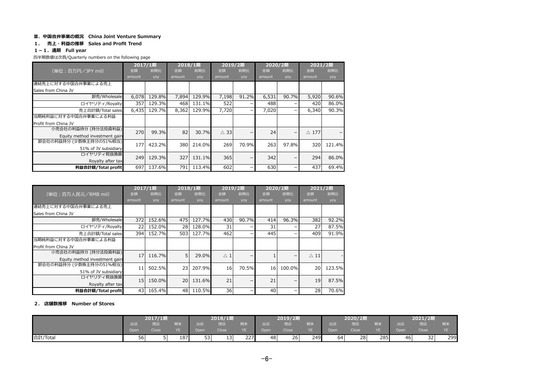# Ⅲ.中国合弁事業の概況 China Joint Venture Summary

## 1. 売上・利益の推移 Sales and Profit Trend

# 1-1.通期 Full year

四半期数値は次頁/Quarterly numbers on the following page

|                               | 2017/1期 |        | 2018/1期 |        | 2019/2期        |       | 2020/2期 |       | 2021/2期         |        |
|-------------------------------|---------|--------|---------|--------|----------------|-------|---------|-------|-----------------|--------|
| (単位:百万円/JPY mil)              | 金額      | 前期比    | 金額      | 前期比    | 金額             | 前期比   | 金額      | 前期比   | 金額              | 前期比    |
|                               | amount  | yoy    | amount  | yoy    | amount         | yoy   | amount  | yoy   | amount          | yoy    |
| 連結売上に対する中国合弁事業による売上           |         |        |         |        |                |       |         |       |                 |        |
| Sales from China JV           |         |        |         |        |                |       |         |       |                 |        |
| 卸売/Wholesale                  | 6,078   | 129.8% | 7,894   | 129.9% | 7,198          | 91.2% | 6,531   | 90.7% | 5,920           | 90.6%  |
| ロイヤリティ/Royalty                | 357     | 129.3% | 468     | 131.1% | 522            | -     | 488     |       | 420             | 86.0%  |
| 売上合計額/Total sales             | 6,435   | 129.7% | 8,362   | 129.9% | 7,720          | -     | 7,020   |       | 6,340           | 90.3%  |
| 当期純利益に対する中国合弁事業による利益          |         |        |         |        |                |       |         |       |                 |        |
| Profit from China JV          |         |        |         |        |                |       |         |       |                 |        |
| 小売会社の利益持分 (持分法投資利益)           | 270     | 99.3%  | 82      | 30.7%  | $\triangle$ 33 | -     | 24      | -     | $\triangle$ 177 |        |
| Equity method investment gain |         |        |         |        |                |       |         |       |                 |        |
| 卸会社の利益持分 (少数株主持分の51%相当)       | 177     | 423.2% | 380     | 214.0% | 269            | 70.9% | 263     | 97.8% | 320             | 121.4% |
| 51% of JV subsidiary          |         |        |         |        |                |       |         |       |                 |        |
| ロイヤリティ税抜換算                    | 249     | 129.3% | 327     | 131.1% | 365            | -     | 342     |       | 294             | 86.0%  |
| Royalty after tax             |         |        |         |        |                |       |         |       |                 |        |
| 利益合計額/Total profit            | 697     | 137.6% | 791     | 113.4% | 602            |       | 630     |       | 437             | 69.4%  |

|                               | 2017/1期 |        | 2018/1期 |        | 2019/2期       |       | 2020/2期 |        | 2021/2期        |        |
|-------------------------------|---------|--------|---------|--------|---------------|-------|---------|--------|----------------|--------|
| (単位:百万人民元/RMB mil)            | 金額      | 前期比    | 金額      | 前期比    | 金額            | 前期比   | 金額      | 前期比    | 金額             | 前期比    |
|                               | amount  | yoy    | amount  | yoy    | amount        | yoy   | amount  | yoy    | amount         | yoy    |
| 連結売上に対する中国合弁事業による売上           |         |        |         |        |               |       |         |        |                |        |
| Sales from China JV           |         |        |         |        |               |       |         |        |                |        |
| 卸売/Wholesale                  | 372     | 152.6% | 475     | 127.7% | 430           | 90.7% | 414     | 96.3%  | 382            | 92.2%  |
| ロイヤリティ/Royalty                | 22      | 152.0% | 28      | 128.0% | 31            | -     | 31      |        | 27             | 87.5%  |
| 売上合計額/Total sales             | 394     | 152.7% | 503     | 127.7% | 462           | -     | 445     |        | 409            | 91.9%  |
| 当期純利益に対する中国合弁事業による利益          |         |        |         |        |               |       |         |        |                |        |
| Profit from China JV          |         |        |         |        |               |       |         |        |                |        |
| 小売会社の利益持分 (持分法投資利益)           | 17      | 116.7% | 5       | 29.0%  | $\triangle$ 1 | -     |         |        | $\triangle$ 11 |        |
| Equity method investment gain |         |        |         |        |               |       |         |        |                |        |
| 卸会社の利益持分 (少数株主持分の51%相当)       | 11      | 502.5% | 23      | 207.9% | 16            | 70.5% | 16      | 100.0% | 20             | 123.5% |
| 51% of JV subsidiary          |         |        |         |        |               |       |         |        |                |        |
| ロイヤリティ税抜換算                    | 15      | 150.0% | 20      | 131.6% | 21            |       | 21      |        | 19             | 87.5%  |
| Royalty after tax             |         |        |         |        |               |       |         |        |                |        |
| 利益合計額/Total profit            | 43      | 165.4% | 48      | 110.5% | 36            |       | 40      |        | 28             | 70.6%  |

### 2. 店舗数推移 Number of Stores

|          |      | 2017/1期 |     |      | 2018/1期            |     |                   | 2019/2期 |     |      | 2020/2期      |            |      | 2021/2期      |     |
|----------|------|---------|-----|------|--------------------|-----|-------------------|---------|-----|------|--------------|------------|------|--------------|-----|
|          | 出店   | 閉店      | 期末  | 出店   | 閉店                 | 朝末  | 出店                | 閉店      |     | 出店   | 閉店           | 期末         | 出店   | 閉店           | 册不  |
|          | Open | Close   | YE. | Open | Close <sup>1</sup> | YE. | Open <sup>1</sup> | Close   |     | Open | <b>Close</b> | $\sqrt{r}$ | Open | <b>Close</b> | YE  |
| 合計/Total | 56   |         | 187 | 53   | 13                 | 227 | 48                | 26      | 249 | 64   | 28           | 285        | 46   | 32           | 299 |